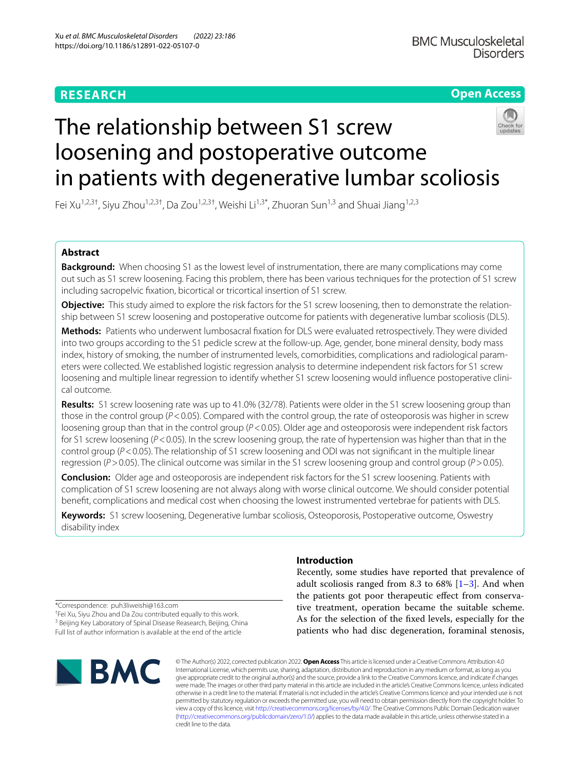# **RESEARCH**

# **Open Access**



# The relationship between S1 screw loosening and postoperative outcome in patients with degenerative lumbar scoliosis

Fei Xu<sup>1,2,3†</sup>, Siyu Zhou<sup>1,2,3†</sup>, Da Zou<sup>1,2,3†</sup>, Weishi Li<sup>1,3\*</sup>, Zhuoran Sun<sup>1,3</sup> and Shuai Jiang<sup>1,2,3</sup>

# **Abstract**

**Background:** When choosing S1 as the lowest level of instrumentation, there are many complications may come out such as S1 screw loosening. Facing this problem, there has been various techniques for the protection of S1 screw including sacropelvic fxation, bicortical or tricortical insertion of S1 screw.

**Objective:** This study aimed to explore the risk factors for the S1 screw loosening, then to demonstrate the relationship between S1 screw loosening and postoperative outcome for patients with degenerative lumbar scoliosis (DLS).

**Methods:** Patients who underwent lumbosacral fxation for DLS were evaluated retrospectively. They were divided into two groups according to the S1 pedicle screw at the follow-up. Age, gender, bone mineral density, body mass index, history of smoking, the number of instrumented levels, comorbidities, complications and radiological parameters were collected. We established logistic regression analysis to determine independent risk factors for S1 screw loosening and multiple linear regression to identify whether S1 screw loosening would infuence postoperative clinical outcome.

**Results:** S1 screw loosening rate was up to 41.0% (32/78). Patients were older in the S1 screw loosening group than those in the control group (*P*<0.05). Compared with the control group, the rate of osteoporosis was higher in screw loosening group than that in the control group (*P*<0.05). Older age and osteoporosis were independent risk factors for S1 screw loosening (*P*<0.05). In the screw loosening group, the rate of hypertension was higher than that in the control group (*P*<0.05). The relationship of S1 screw loosening and ODI was not signifcant in the multiple linear regression (*P*>0.05). The clinical outcome was similar in the S1 screw loosening group and control group (*P*>0.05).

**Conclusion:** Older age and osteoporosis are independent risk factors for the S1 screw loosening. Patients with complication of S1 screw loosening are not always along with worse clinical outcome. We should consider potential beneft, complications and medical cost when choosing the lowest instrumented vertebrae for patients with DLS.

**Keywords:** S1 screw loosening, Degenerative lumbar scoliosis, Osteoporosis, Postoperative outcome, Oswestry disability index

# **Introduction**

Recently, some studies have reported that prevalence of adult scoliosis ranged from 8.3 to  $68\%$  [[1–](#page-5-0)[3\]](#page-5-1). And when the patients got poor therapeutic efect from conservative treatment, operation became the suitable scheme. As for the selection of the fxed levels, especially for the patients who had disc degeneration, foraminal stenosis,

\*Correspondence: puh3liweishi@163.com

† Fei Xu, Siyu Zhou and Da Zou contributed equally to this work. <sup>3</sup> Beijing Key Laboratory of Spinal Disease Reasearch, Beijing, China Full list of author information is available at the end of the article



© The Author(s) 2022, corrected publication 2022. **Open Access** This article is licensed under a Creative Commons Attribution 4.0 International License, which permits use, sharing, adaptation, distribution and reproduction in any medium or format, as long as you give appropriate credit to the original author(s) and the source, provide a link to the Creative Commons licence, and indicate if changes were made. The images or other third party material in this article are included in the article's Creative Commons licence, unless indicated otherwise in a credit line to the material. If material is not included in the article's Creative Commons licence and your intended use is not permitted by statutory regulation or exceeds the permitted use, you will need to obtain permission directly from the copyright holder. To view a copy of this licence, visit [http://creativecommons.org/licenses/by/4.0/.](http://creativecommons.org/licenses/by/4.0/) The Creative Commons Public Domain Dedication waiver [\(http://creativecommons.org/publicdomain/zero/1.0/\)](http://creativecommons.org/publicdomain/zero/1.0/) applies to the data made available in this article, unless otherwise stated in a credit line to the data.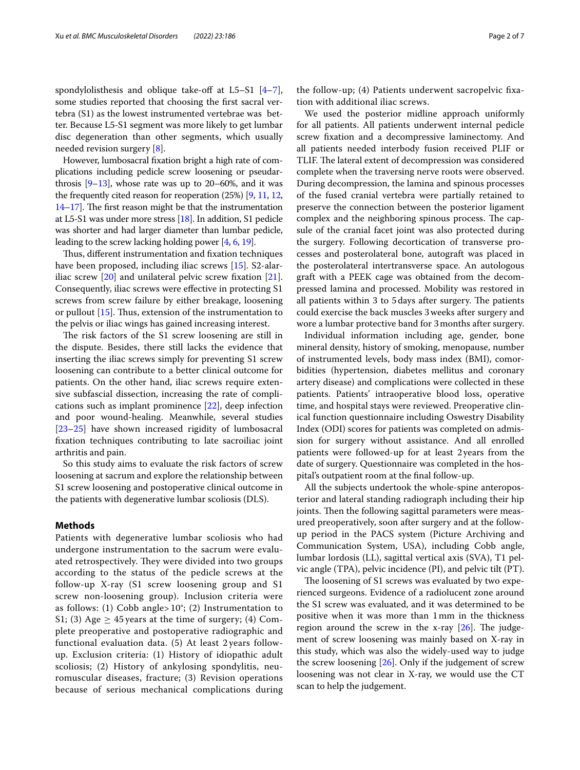spondylolisthesis and oblique take-off at  $L5-S1$   $[4-7]$  $[4-7]$ , some studies reported that choosing the frst sacral vertebra (S1) as the lowest instrumented vertebrae was better. Because L5-S1 segment was more likely to get lumbar disc degeneration than other segments, which usually needed revision surgery [[8\]](#page-5-4).

However, lumbosacral fxation bright a high rate of complications including pedicle screw loosening or pseudarthrosis  $[9-13]$  $[9-13]$  $[9-13]$ , whose rate was up to 20–60%, and it was the frequently cited reason for reoperation (25%) [\[9](#page-5-5), [11](#page-5-7), [12](#page-5-8),  $14-17$  $14-17$ ]. The first reason might be that the instrumentation at L5-S1 was under more stress [\[18\]](#page-5-11). In addition, S1 pedicle was shorter and had larger diameter than lumbar pedicle, leading to the screw lacking holding power [\[4,](#page-5-2) [6](#page-5-12), [19\]](#page-5-13).

Thus, different instrumentation and fixation techniques have been proposed, including iliac screws [\[15\]](#page-5-14). S2-alariliac screw [[20\]](#page-5-15) and unilateral pelvic screw fxation [\[21](#page-5-16)]. Consequently, iliac screws were efective in protecting S1 screws from screw failure by either breakage, loosening or pullout  $[15]$ . Thus, extension of the instrumentation to the pelvis or iliac wings has gained increasing interest.

The risk factors of the S1 screw loosening are still in the dispute. Besides, there still lacks the evidence that inserting the iliac screws simply for preventing S1 screw loosening can contribute to a better clinical outcome for patients. On the other hand, iliac screws require extensive subfascial dissection, increasing the rate of complications such as implant prominence [[22\]](#page-5-17), deep infection and poor wound-healing. Meanwhile, several studies [[23–](#page-5-18)[25](#page-5-19)] have shown increased rigidity of lumbosacral fxation techniques contributing to late sacroiliac joint arthritis and pain.

So this study aims to evaluate the risk factors of screw loosening at sacrum and explore the relationship between S1 screw loosening and postoperative clinical outcome in the patients with degenerative lumbar scoliosis (DLS).

## **Methods**

Patients with degenerative lumbar scoliosis who had undergone instrumentation to the sacrum were evaluated retrospectively. They were divided into two groups according to the status of the pedicle screws at the follow-up X-ray (S1 screw loosening group and S1 screw non-loosening group). Inclusion criteria were as follows: (1) Cobb angle>  $10^{\circ}$ ; (2) Instrumentation to S1; (3) Age  $\geq$  45 years at the time of surgery; (4) Complete preoperative and postoperative radiographic and functional evaluation data. (5) At least 2 years followup. Exclusion criteria: (1) History of idiopathic adult scoliosis; (2) History of ankylosing spondylitis, neuromuscular diseases, fracture; (3) Revision operations because of serious mechanical complications during the follow-up; (4) Patients underwent sacropelvic fxation with additional iliac screws.

We used the posterior midline approach uniformly for all patients. All patients underwent internal pedicle screw fxation and a decompressive laminectomy. And all patients needed interbody fusion received PLIF or TLIF. The lateral extent of decompression was considered complete when the traversing nerve roots were observed. During decompression, the lamina and spinous processes of the fused cranial vertebra were partially retained to preserve the connection between the posterior ligament complex and the neighboring spinous process. The capsule of the cranial facet joint was also protected during the surgery. Following decortication of transverse processes and posterolateral bone, autograft was placed in the posterolateral intertransverse space. An autologous graft with a PEEK cage was obtained from the decompressed lamina and processed. Mobility was restored in all patients within 3 to 5 days after surgery. The patients could exercise the back muscles 3weeks after surgery and wore a lumbar protective band for 3months after surgery.

Individual information including age, gender, bone mineral density, history of smoking, menopause, number of instrumented levels, body mass index (BMI), comorbidities (hypertension, diabetes mellitus and coronary artery disease) and complications were collected in these patients. Patients' intraoperative blood loss, operative time, and hospital stays were reviewed. Preoperative clinical function questionnaire including Oswestry Disability Index (ODI) scores for patients was completed on admission for surgery without assistance. And all enrolled patients were followed-up for at least 2years from the date of surgery. Questionnaire was completed in the hospital's outpatient room at the fnal follow-up.

All the subjects undertook the whole-spine anteroposterior and lateral standing radiograph including their hip joints. Then the following sagittal parameters were measured preoperatively, soon after surgery and at the followup period in the PACS system (Picture Archiving and Communication System, USA), including Cobb angle, lumbar lordosis (LL), sagittal vertical axis (SVA), T1 pelvic angle (TPA), pelvic incidence (PI), and pelvic tilt (PT).

The loosening of S1 screws was evaluated by two experienced surgeons. Evidence of a radiolucent zone around the S1 screw was evaluated, and it was determined to be positive when it was more than 1mm in the thickness region around the screw in the x-ray  $[26]$  $[26]$ . The judgement of screw loosening was mainly based on X-ray in this study, which was also the widely-used way to judge the screw loosening  $[26]$  $[26]$  $[26]$ . Only if the judgement of screw loosening was not clear in X-ray, we would use the CT scan to help the judgement.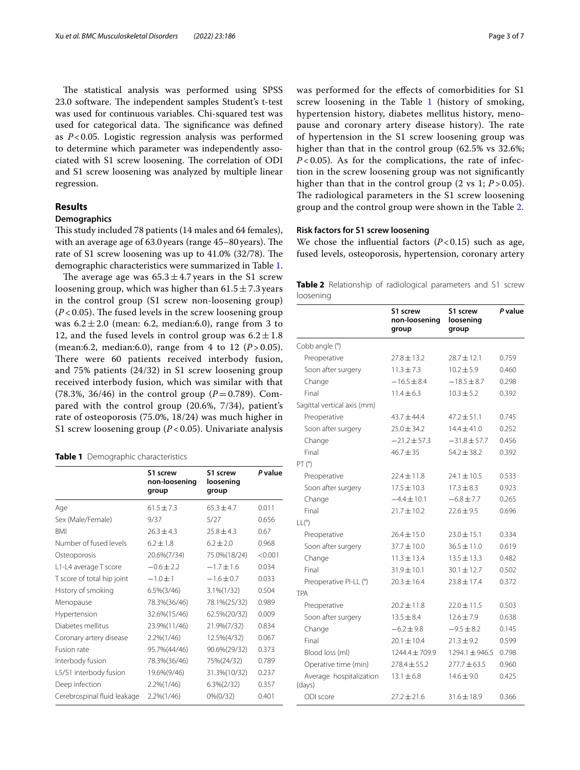The statistical analysis was performed using SPSS 23.0 software. The independent samples Student's t-test was used for continuous variables. Chi-squared test was used for categorical data. The significance was defined as *P*<0.05. Logistic regression analysis was performed to determine which parameter was independently associated with S1 screw loosening. The correlation of ODI and S1 screw loosening was analyzed by multiple linear regression.

# **Results**

# **Demographics**

This study included 78 patients (14 males and 64 females), with an average age of  $63.0$  years (range  $45-80$  years). The rate of S1 screw loosening was up to 41.0% (32/78). The demographic characteristics were summarized in Table [1](#page-2-0).

The average age was  $65.3 \pm 4.7$  years in the S1 screw loosening group, which was higher than  $61.5 \pm 7.3$  years in the control group (S1 screw non-loosening group)  $(P<0.05)$ . The fused levels in the screw loosening group was  $6.2 \pm 2.0$  (mean: 6.2, median: 6.0), range from 3 to 12, and the fused levels in control group was  $6.2 \pm 1.8$ (mean:6.2, median:6.0), range from 4 to 12 ( $P > 0.05$ ). There were 60 patients received interbody fusion, and 75% patients (24/32) in S1 screw loosening group received interbody fusion, which was similar with that (78.3%, 36/46) in the control group ( $P = 0.789$ ). Compared with the control group (20.6%, 7/34), patient's rate of osteoporosis (75.0%, 18/24) was much higher in S1 screw loosening group (*P* < 0.05). Univariate analysis

#### <span id="page-2-0"></span>**Table 1** Demographic characteristics

|                             | S1 screw<br>non-loosening<br>group | S1 screw<br>loosening<br>group | P value |
|-----------------------------|------------------------------------|--------------------------------|---------|
| Age                         | $61.5 \pm 7.3$                     | $65.3 \pm 4.7$                 | 0.011   |
| Sex (Male/Female)           | 9/37                               | 5/27                           | 0.656   |
| <b>BMI</b>                  | $26.3 \pm 4.3$                     | $25.8 \pm 4.3$                 | 0.67    |
| Number of fused levels      | $6.2 + 1.8$                        | $6.2 \pm 2.0$                  | 0.968   |
| Osteoporosis                | 20.6%(7/34)                        | 75.0%(18/24)                   | < 0.001 |
| L1-L4 average T score       | $-0.6 \pm 2.2$                     | $-1.7 \pm 1.6$                 | 0.034   |
| T score of total hip joint  | $-1.0 \pm 1$                       | $-1.6 \pm 0.7$                 | 0.033   |
| History of smoking          | $6.5\%(3/46)$                      | $3.1\%(1/32)$                  | 0.504   |
| Menopause                   | 78.3%(36/46)                       | 78.1%(25/32)                   | 0.989   |
| Hypertension                | 32.6%(15/46)                       | 62.5%(20/32)                   | 0.009   |
| Diabetes mellitus           | 23.9%(11/46)                       | 21.9%(7/32)                    | 0.834   |
| Coronary artery disease     | $2.2\%(1/46)$                      | 12.5%(4/32)                    | 0.067   |
| Fusion rate                 | 95.7%(44/46)                       | 90.6%(29/32)                   | 0.373   |
| Interbody fusion            | 78.3%(36/46)                       | 75%(24/32)                     | 0.789   |
| L5/S1 interbody fusion      | 19.6%(9/46)                        | 31.3%(10/32)                   | 0.237   |
| Deep infection              | 2.2%(1/46)                         | $6.3\%(2/32)$                  | 0.357   |
| Cerebrospinal fluid leakage | 2.2%(1/46)                         | 0%(0/32)                       | 0.401   |

was performed for the efects of comorbidities for S1 screw loosening in the Table [1](#page-2-0) (history of smoking, hypertension history, diabetes mellitus history, menopause and coronary artery disease history). The rate of hypertension in the S1 screw loosening group was higher than that in the control group (62.5% vs 32.6%;  $P < 0.05$ ). As for the complications, the rate of infection in the screw loosening group was not signifcantly higher than that in the control group  $(2 \text{ vs } 1; P > 0.05)$ . The radiological parameters in the S1 screw loosening group and the control group were shown in the Table [2.](#page-2-1)

## **Risk factors for S1 screw loosening**

We chose the influential factors  $(P<0.15)$  such as age, fused levels, osteoporosis, hypertension, coronary artery

<span id="page-2-1"></span>

|           | Table 2 Relationship of radiological parameters and S1 screw |  |  |  |
|-----------|--------------------------------------------------------------|--|--|--|
| loosening |                                                              |  |  |  |

|                                   | S1 screw<br>non-loosening<br>group | S1 screw<br>loosening<br>group | P value |
|-----------------------------------|------------------------------------|--------------------------------|---------|
| Cobb angle (°)                    |                                    |                                |         |
| Preoperative                      | $77.8 + 13.2$                      | $28.7 \pm 12.1$                | 0.759   |
| Soon after surgery                | $11.3 \pm 7.3$                     | $10.2 \pm 5.9$                 | 0.460   |
| Change                            | $-16.5 \pm 8.4$                    | $-18.5 \pm 8.7$                | 0.298   |
| Final                             | $11.4 \pm 6.3$                     | $10.3 \pm 5.2$                 | 0.392   |
| Sagittal vertical axis (mm)       |                                    |                                |         |
| Preoperative                      | $43.7 \pm 44.4$                    | $47.2 \pm 51.1$                | 0.745   |
| Soon after surgery                | $25.0 + 34.2$                      | $14.4 + 41.0$                  | 0.252   |
| Change                            | $-21.2 \pm 57.3$                   | $-31.8 \pm 57.7$               | 0.456   |
| Final                             | $46.7 \pm 35$                      | $54.2 \pm 38.2$                | 0.392   |
| PT (°)                            |                                    |                                |         |
| Preoperative                      | $22.4 \pm 11.8$                    | $24.1 \pm 10.5$                | 0.533   |
| Soon after surgery                | $17.5 \pm 10.3$                    | $17.3 \pm 8.3$                 | 0.923   |
| Change                            | $-4.4 \pm 10.1$                    | $-6.8 \pm 7.7$                 | 0.265   |
| Final                             | $21.7 \pm 10.2$                    | $22.6 \pm 9.5$                 | 0.696   |
| LL(°)                             |                                    |                                |         |
| Preoperative                      | $26.4 \pm 15.0$                    | $23.0 \pm 15.1$                | 0.334   |
| Soon after surgery                | $37.7 \pm 10.0$                    | $36.5 \pm 11.0$                | 0.619   |
| Change                            | $11.3 \pm 13.4$                    | $13.5 \pm 13.3$                | 0.482   |
| Final                             | $31.9 \pm 10.1$                    | $30.1 \pm 12.7$                | 0.502   |
| Preoperative PI-LL (°)            | $20.3 \pm 16.4$                    | $23.8 \pm 17.4$                | 0.372   |
| <b>TPA</b>                        |                                    |                                |         |
| Preoperative                      | $20.2 \pm 11.8$                    | $22.0 \pm 11.5$                | 0.503   |
| Soon after surgery                | $13.5 \pm 8.4$                     | $12.6 \pm 7.9$                 | 0.638   |
| Change                            | $-6.2 \pm 9.8$                     | $-9.5 \pm 8.2$                 | 0.145   |
| Final                             | $20.1 \pm 10.4$                    | $21.3 \pm 9.2$                 | 0.599   |
| Blood loss (ml)                   | 1244.4 ± 709.9                     | 1294.1±946.5                   | 0.798   |
| Operative time (min)              | $778.4 + 55.2$                     | $277.7 + 63.5$                 | 0.960   |
| Average hospitalization<br>(days) | $13.1 \pm 6.8$                     | $14.6 \pm 9.0$                 | 0.425   |
| ODI score                         | $27.2 \pm 21.6$                    | $31.6 \pm 18.9$                | 0.366   |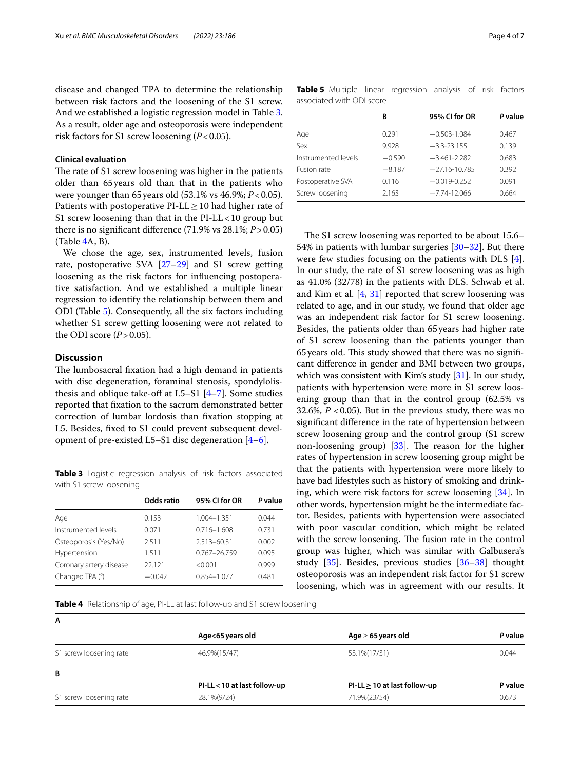disease and changed TPA to determine the relationship between risk factors and the loosening of the S1 screw. And we established a logistic regression model in Table [3](#page-3-0). As a result, older age and osteoporosis were independent risk factors for S1 screw loosening (*P*<0.05).

# **Clinical evaluation**

The rate of S1 screw loosening was higher in the patients older than 65years old than that in the patients who were younger than 65years old (53.1% vs 46.9%; *P*<0.05). Patients with postoperative PI-LL $\geq$ 10 had higher rate of S1 screw loosening than that in the  $PI-LL < 10$  group but there is no signifcant diference (71.9% vs 28.1%; *P*>0.05) (Table [4](#page-3-1)A, B).

We chose the age, sex, instrumented levels, fusion rate, postoperative SVA [[27](#page-5-21)[–29](#page-5-22)] and S1 screw getting loosening as the risk factors for infuencing postoperative satisfaction. And we established a multiple linear regression to identify the relationship between them and ODI (Table [5\)](#page-3-2). Consequently, all the six factors including whether S1 screw getting loosening were not related to the ODI score  $(P > 0.05)$ .

## **Discussion**

The lumbosacral fixation had a high demand in patients with disc degeneration, foraminal stenosis, spondylolisthesis and oblique take-off at  $L5-S1$   $[4–7]$  $[4–7]$  $[4–7]$ . Some studies reported that fxation to the sacrum demonstrated better correction of lumbar lordosis than fxation stopping at L5. Besides, fxed to S1 could prevent subsequent development of pre-existed L5–S1 disc degeneration [[4–](#page-5-2)[6\]](#page-5-12).

<span id="page-3-0"></span>**Table 3** Logistic regression analysis of risk factors associated with S1 screw loosening

|                         | Odds ratio | 95% CI for OR    | P value |
|-------------------------|------------|------------------|---------|
| Age                     | 0.153      | 1.004-1.351      | 0.044   |
| Instrumented levels     | 0.071      | $0.716 - 1.608$  | 0.731   |
| Osteoporosis (Yes/No)   | 2.511      | 2.513-60.31      | 0.002   |
| Hypertension            | 1.511      | $0.767 - 26.759$ | 0.095   |
| Coronary artery disease | 22.121     | < 0.001          | 0.999   |
| Changed TPA (°)         | $-0.042$   | $0.854 - 1.077$  | 0.481   |
|                         |            |                  |         |

| $TU.7/0, T \le U.0J$ ). | $5 - 1$ | ---- |  |
|-------------------------|---------|------|--|
| d higher rate of        |         |      |  |

The S1 screw loosening was reported to be about 15.6– 54% in patients with lumbar surgeries [\[30](#page-5-23)[–32\]](#page-5-24). But there were few studies focusing on the patients with DLS [\[4](#page-5-2)]. In our study, the rate of S1 screw loosening was as high as 41.0% (32/78) in the patients with DLS. Schwab et al. and Kim et al. [[4,](#page-5-2) [31\]](#page-5-25) reported that screw loosening was related to age, and in our study, we found that older age was an independent risk factor for S1 screw loosening. Besides, the patients older than 65years had higher rate of S1 screw loosening than the patients younger than 65 years old. This study showed that there was no significant diference in gender and BMI between two groups, which was consistent with Kim's study [\[31](#page-5-25)]. In our study, patients with hypertension were more in S1 screw loosening group than that in the control group (62.5% vs 32.6%,  $P < 0.05$ ). But in the previous study, there was no signifcant diference in the rate of hypertension between screw loosening group and the control group (S1 screw non-loosening group)  $[33]$  $[33]$  $[33]$ . The reason for the higher rates of hypertension in screw loosening group might be that the patients with hypertension were more likely to have bad lifestyles such as history of smoking and drinking, which were risk factors for screw loosening [\[34](#page-5-27)]. In other words, hypertension might be the intermediate factor. Besides, patients with hypertension were associated with poor vascular condition, which might be related with the screw loosening. The fusion rate in the control group was higher, which was similar with Galbusera's study [\[35](#page-5-28)]. Besides, previous studies [\[36–](#page-5-29)[38\]](#page-5-30) thought osteoporosis was an independent risk factor for S1 screw loosening, which was in agreement with our results. It

<span id="page-3-1"></span>**Table 4** Relationship of age, PI-LL at last follow-up and S1 screw loosening

| A                       |                            |                                   |         |
|-------------------------|----------------------------|-----------------------------------|---------|
|                         | Age<65 years old           | Age $\geq$ 65 years old           | P value |
| S1 screw loosening rate | 46.9%(15/47)               | 53.1%(17/31)                      | 0.044   |
| B                       |                            |                                   |         |
|                         | PI-LL<10 at last follow-up | $PI-LL \geq 10$ at last follow-up | P value |
| S1 screw loosening rate | 28.1%(9/24)                | 71.9%(23/54)                      | 0.673   |

<span id="page-3-2"></span>**Table 5** Multiple linear regression analysis of risk factors associated with ODI score

|                     | В        | 95% CI for OR     | P value |
|---------------------|----------|-------------------|---------|
| Age                 | 0.291    | $-0.503 - 1.084$  | 0.467   |
| Sex                 | 9.928    | $-3.3 - 23.155$   | 0.139   |
| Instrumented levels | $-0.590$ | $-3.461 - 2.282$  | 0.683   |
| Fusion rate         | $-8.187$ | $-27.16 - 10.785$ | 0.392   |
| Postoperative SVA   | 0.116    | $-0.019 - 0.252$  | 0.091   |
| Screw loosening     | 2.163    | $-7.74 - 12.066$  | 0.664   |
|                     |          |                   |         |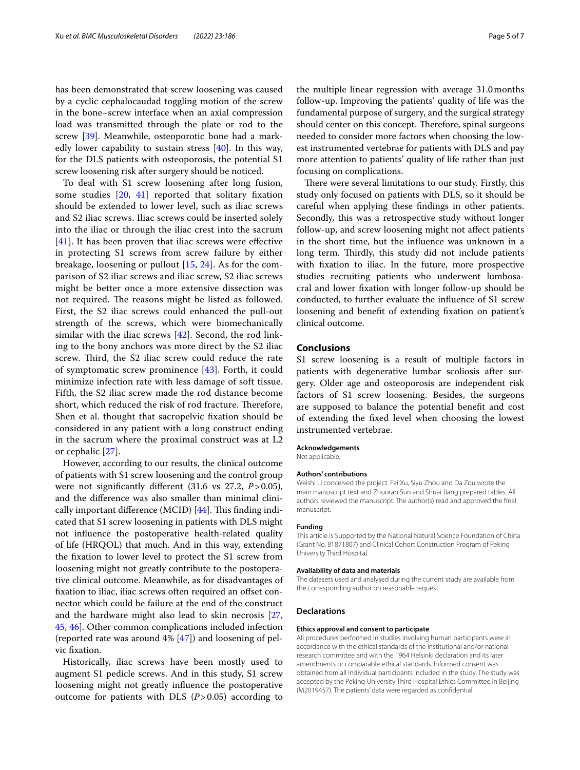has been demonstrated that screw loosening was caused by a cyclic cephalocaudad toggling motion of the screw in the bone–screw interface when an axial compression load was transmitted through the plate or rod to the screw [\[39](#page-5-31)]. Meanwhile, osteoporotic bone had a markedly lower capability to sustain stress [\[40](#page-5-32)]. In this way, for the DLS patients with osteoporosis, the potential S1 screw loosening risk after surgery should be noticed.

To deal with S1 screw loosening after long fusion, some studies [[20](#page-5-15), [41\]](#page-6-0) reported that solitary fxation should be extended to lower level, such as iliac screws and S2 iliac screws. Iliac screws could be inserted solely into the iliac or through the iliac crest into the sacrum  $[41]$  $[41]$  $[41]$ . It has been proven that iliac screws were effective in protecting S1 screws from screw failure by either breakage, loosening or pullout [\[15](#page-5-14), [24\]](#page-5-33). As for the comparison of S2 iliac screws and iliac screw, S2 iliac screws might be better once a more extensive dissection was not required. The reasons might be listed as followed. First, the S2 iliac screws could enhanced the pull-out strength of the screws, which were biomechanically similar with the iliac screws [[42](#page-6-1)]. Second, the rod linking to the bony anchors was more direct by the S2 iliac screw. Third, the S2 iliac screw could reduce the rate of symptomatic screw prominence [\[43](#page-6-2)]. Forth, it could minimize infection rate with less damage of soft tissue. Fifth, the S2 iliac screw made the rod distance become short, which reduced the risk of rod fracture. Therefore, Shen et al. thought that sacropelvic fxation should be considered in any patient with a long construct ending in the sacrum where the proximal construct was at L2 or cephalic [\[27](#page-5-21)].

However, according to our results, the clinical outcome of patients with S1 screw loosening and the control group were not signifcantly diferent (31.6 vs 27.2, *P*>0.05), and the diference was also smaller than minimal clinically important difference (MCID)  $[44]$  $[44]$  $[44]$ . This finding indicated that S1 screw loosening in patients with DLS might not infuence the postoperative health-related quality of life (HRQOL) that much. And in this way, extending the fxation to lower level to protect the S1 screw from loosening might not greatly contribute to the postoperative clinical outcome. Meanwhile, as for disadvantages of fixation to iliac, iliac screws often required an offset connector which could be failure at the end of the construct and the hardware might also lead to skin necrosis [\[27](#page-5-21), [45,](#page-6-4) [46](#page-6-5)]. Other common complications included infection (reported rate was around 4% [[47](#page-6-6)]) and loosening of pelvic fxation.

Historically, iliac screws have been mostly used to augment S1 pedicle screws. And in this study, S1 screw loosening might not greatly infuence the postoperative outcome for patients with DLS  $(P > 0.05)$  according to

the multiple linear regression with average 31.0months follow-up. Improving the patients' quality of life was the fundamental purpose of surgery, and the surgical strategy should center on this concept. Therefore, spinal surgeons needed to consider more factors when choosing the lowest instrumented vertebrae for patients with DLS and pay more attention to patients' quality of life rather than just focusing on complications.

There were several limitations to our study. Firstly, this study only focused on patients with DLS, so it should be careful when applying these fndings in other patients. Secondly, this was a retrospective study without longer follow-up, and screw loosening might not afect patients in the short time, but the infuence was unknown in a long term. Thirdly, this study did not include patients with fxation to iliac. In the future, more prospective studies recruiting patients who underwent lumbosacral and lower fxation with longer follow-up should be conducted, to further evaluate the infuence of S1 screw loosening and beneft of extending fxation on patient's clinical outcome.

#### **Conclusions**

S1 screw loosening is a result of multiple factors in patients with degenerative lumbar scoliosis after surgery. Older age and osteoporosis are independent risk factors of S1 screw loosening. Besides, the surgeons are supposed to balance the potential beneft and cost of extending the fxed level when choosing the lowest instrumented vertebrae.

#### **Acknowledgements**

Not applicable.

#### **Authors' contributions**

Weishi Li conceived the project. Fei Xu, Siyu Zhou and Da Zou wrote the main manuscript text and Zhuoran Sun and Shuai Jiang prepared tables. All authors reviewed the manuscript. The author(s) read and approved the fnal manuscript.

#### **Funding**

This article is Supported by the National Natural Science Foundation of China (Grant No. 81871807) and Clinical Cohort Construction Program of Peking University Third Hospital.

#### **Availability of data and materials**

The datasets used and analysed during the current study are available from the corresponding author on reasonable request.

#### **Declarations**

#### **Ethics approval and consent to participate**

All procedures performed in studies involving human participants were in accordance with the ethical standards of the institutional and/or national research committee and with the 1964 Helsinki declaration and its later amendments or comparable ethical standards. Informed consent was obtained from all individual participants included in the study. The study was accepted by the Peking University Third Hospital Ethics Committee in Beijing (M2019457). The patients' data were regarded as confdential.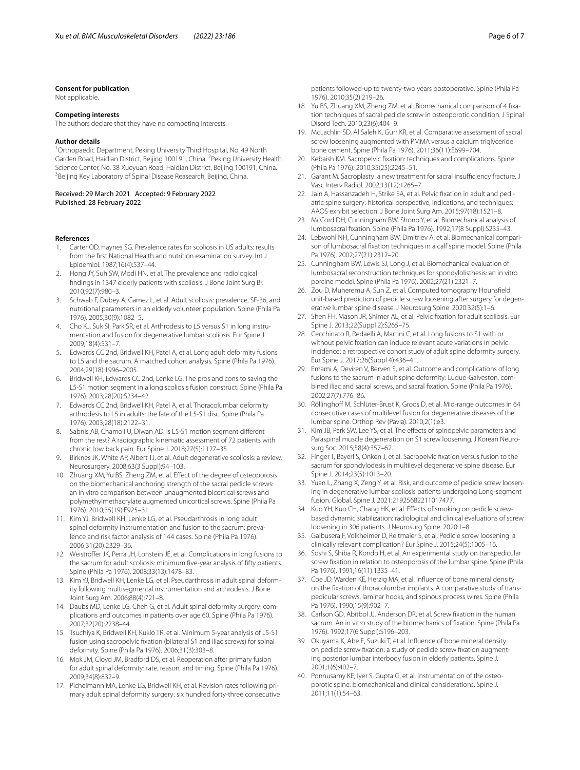#### **Consent for publication**

Not applicable.

#### **Competing interests**

The authors declare that they have no competing interests.

#### **Author details**

<sup>1</sup> Orthopaedic Department, Peking University Third Hospital, No. 49 North Garden Road, Haidian District, Beijing 100191, China. <sup>2</sup> Peking University Health Science Center, No. 38 Xueyuan Road, Haidian District, Beijing 100191, China. 3 <sup>3</sup> Beijing Key Laboratory of Spinal Disease Reasearch, Beijing, China.

#### Received: 29 March 2021 Accepted: 9 February 2022 Published: 28 February 2022

#### **References**

- <span id="page-5-0"></span>1. Carter OD, Haynes SG. Prevalence rates for scoliosis in US adults: results from the frst National Health and nutrition examination survey. Int J Epidemiol. 1987;16(4):537–44.
- 2. Hong JY, Suh SW, Modi HN, et al. The prevalence and radiological fndings in 1347 elderly patients with scoliosis. J Bone Joint Surg Br. 2010;92(7):980–3.
- <span id="page-5-1"></span>3. Schwab F, Dubey A, Gamez L, et al. Adult scoliosis: prevalence, SF-36, and nutritional parameters in an elderly volunteer population. Spine (Phila Pa 1976). 2005;30(9):1082–5.
- <span id="page-5-2"></span>4. Cho KJ, Suk SI, Park SR, et al. Arthrodesis to L5 versus S1 in long instrumentation and fusion for degenerative lumbar scoliosis. Eur Spine J. 2009;18(4):531–7.
- 5. Edwards CC 2nd, Bridwell KH, Patel A, et al. Long adult deformity fusions to L5 and the sacrum. A matched cohort analysis. Spine (Phila Pa 1976). 2004;29(18):1996–2005.
- <span id="page-5-12"></span>6. Bridwell KH, Edwards CC 2nd, Lenke LG. The pros and cons to saving the L5-S1 motion segment in a long scoliosis fusion construct. Spine (Phila Pa 1976). 2003;28(20):S234–42.
- <span id="page-5-3"></span>7. Edwards CC 2nd, Bridwell KH, Patel A, et al. Thoracolumbar deformity arthrodesis to L5 in adults: the fate of the L5-S1 disc. Spine (Phila Pa 1976). 2003;28(18):2122–31.
- <span id="page-5-4"></span>8. Sabnis AB, Chamoli U, Diwan AD. Is L5-S1 motion segment diferent from the rest? A radiographic kinematic assessment of 72 patients with chronic low back pain. Eur Spine J. 2018;27(5):1127–35.
- <span id="page-5-5"></span>Birknes JK, White AP, Albert TJ, et al. Adult degenerative scoliosis: a review. Neurosurgery. 2008;63(3 Suppl):94–103.
- 10. Zhuang XM, Yu BS, Zheng ZM, et al. Efect of the degree of osteoporosis on the biomechanical anchoring strength of the sacral pedicle screws: an in vitro comparison between unaugmented bicortical screws and polymethylmethacrylate augmented unicortical screws. Spine (Phila Pa 1976). 2010;35(19):E925–31.
- <span id="page-5-7"></span>11. Kim YJ, Bridwell KH, Lenke LG, et al. Pseudarthrosis in long adult spinal deformity instrumentation and fusion to the sacrum: prevalence and risk factor analysis of 144 cases. Spine (Phila Pa 1976). 2006;31(20):2329–36.
- <span id="page-5-8"></span>12. Weistroffer JK, Perra JH, Lonstein JE, et al. Complications in long fusions to the sacrum for adult scoliosis: minimum fve-year analysis of ffty patients. Spine (Phila Pa 1976). 2008;33(13):1478–83.
- <span id="page-5-6"></span>13. Kim YJ, Bridwell KH, Lenke LG, et al. Pseudarthrosis in adult spinal deformity following multisegmental instrumentation and arthrodesis. J Bone Joint Surg Am. 2006;88(4):721–8.
- <span id="page-5-9"></span>14. Daubs MD, Lenke LG, Cheh G, et al. Adult spinal deformity surgery: complications and outcomes in patients over age 60. Spine (Phila Pa 1976). 2007;32(20):2238–44.
- <span id="page-5-14"></span>15. Tsuchiya K, Bridwell KH, Kuklo TR, et al. Minimum 5-year analysis of L5-S1 fusion using sacropelvic fxation (bilateral S1 and iliac screws) for spinal deformity. Spine (Phila Pa 1976). 2006;31(3):303–8.
- 16. Mok JM, Cloyd JM, Bradford DS, et al. Reoperation after primary fusion for adult spinal deformity: rate, reason, and timing. Spine (Phila Pa 1976). 2009;34(8):832–9.
- <span id="page-5-10"></span>17. Pichelmann MA, Lenke LG, Bridwell KH, et al. Revision rates following primary adult spinal deformity surgery: six hundred forty-three consecutive

patients followed-up to twenty-two years postoperative. Spine (Phila Pa 1976). 2010;35(2):219–26.

- <span id="page-5-11"></span>18. Yu BS, Zhuang XM, Zheng ZM, et al. Biomechanical comparison of 4 fxation techniques of sacral pedicle screw in osteoporotic condition. J Spinal Disord Tech. 2010;23(6):404–9.
- <span id="page-5-13"></span>19. McLachlin SD, Al Saleh K, Gurr KR, et al. Comparative assessment of sacral screw loosening augmented with PMMA versus a calcium triglyceride bone cement. Spine (Phila Pa 1976). 2011;36(11):E699–704.
- <span id="page-5-15"></span>20. Kebaish KM. Sacropelvic fxation: techniques and complications. Spine (Phila Pa 1976). 2010;35(25):2245–51.
- <span id="page-5-16"></span>21. Garant M. Sacroplasty: a new treatment for sacral insufficiency fracture. J Vasc Interv Radiol. 2002;13(12):1265–7.
- <span id="page-5-17"></span>22. Jain A, Hassanzadeh H, Strike SA, et al. Pelvic fxation in adult and pediatric spine surgery: historical perspective, indications, and techniques: AAOS exhibit selection. J Bone Joint Surg Am. 2015;97(18):1521–8.
- <span id="page-5-18"></span>23. McCord DH, Cunningham BW, Shono Y, et al. Biomechanical analysis of lumbosacral fxation. Spine (Phila Pa 1976). 1992;17(8 Suppl):S235–43.
- <span id="page-5-33"></span>24. Lebwohl NH, Cunningham BW, Dmitriev A, et al. Biomechanical comparison of lumbosacral fxation techniques in a calf spine model. Spine (Phila Pa 1976). 2002;27(21):2312–20.
- <span id="page-5-19"></span>25. Cunningham BW, Lewis SJ, Long J, et al. Biomechanical evaluation of lumbosacral reconstruction techniques for spondylolisthesis: an in vitro porcine model. Spine (Phila Pa 1976). 2002;27(21):2321–7.
- <span id="page-5-20"></span>26. Zou D, Muheremu A, Sun Z, et al. Computed tomography Hounsfeld unit-based prediction of pedicle screw loosening after surgery for degenerative lumbar spine disease. J Neurosurg Spine. 2020:32(5):1–6.
- <span id="page-5-21"></span>27. Shen FH, Mason JR, Shimer AL, et al. Pelvic fxation for adult scoliosis. Eur Spine J. 2013;22(Suppl 2):S265–75.
- 28. Cecchinato R, Redaelli A, Martini C, et al. Long fusions to S1 with or without pelvic fxation can induce relevant acute variations in pelvic incidence: a retrospective cohort study of adult spine deformity surgery. Eur Spine J. 2017;26(Suppl 4):436–41.
- <span id="page-5-22"></span>29. Emami A, Deviren V, Berven S, et al. Outcome and complications of long fusions to the sacrum in adult spine deformity: Luque-Galveston, combined iliac and sacral screws, and sacral fxation. Spine (Phila Pa 1976). 2002;27(7):776–86.
- <span id="page-5-23"></span>30. Röllinghoff M, Schlüter-Brust K, Groos D, et al. Mid-range outcomes in 64 consecutive cases of multilevel fusion for degenerative diseases of the lumbar spine. Orthop Rev (Pavia). 2010;2(1):e3.
- <span id="page-5-25"></span>31. Kim JB, Park SW, Lee YS, et al. The effects of spinopelvic parameters and Paraspinal muscle degeneration on S1 screw loosening. J Korean Neurosurg Soc. 2015;58(4):357–62.
- <span id="page-5-24"></span>32. Finger T, Bayerl S, Onken J, et al. Sacropelvic fxation versus fusion to the sacrum for spondylodesis in multilevel degenerative spine disease. Eur Spine J. 2014;23(5):1013–20.
- <span id="page-5-26"></span>33. Yuan L, Zhang X, Zeng Y, et al. Risk, and outcome of pedicle screw loosening in degenerative lumbar scoliosis patients undergoing Long-segment fusion. Global. Spine J. 2021:21925682211017477.
- <span id="page-5-27"></span>34. Kuo YH, Kuo CH, Chang HK, et al. Efects of smoking on pedicle screwbased dynamic stabilization: radiological and clinical evaluations of screw loosening in 306 patients. J Neurosurg Spine. 2020:1–8.
- <span id="page-5-28"></span>35. Galbusera F, Volkheimer D, Reitmaier S, et al. Pedicle screw loosening: a clinically relevant complication? Eur Spine J. 2015;24(5):1005–16.
- <span id="page-5-29"></span>36. Soshi S, Shiba R, Kondo H, et al. An experimental study on transpedicular screw fxation in relation to osteoporosis of the lumbar spine. Spine (Phila Pa 1976). 1991;16(11):1335–41.
- 37. Coe JD, Warden KE, Herzig MA, et al. Infuence of bone mineral density on the fxation of thoracolumbar implants. A comparative study of transpedicular screws, laminar hooks, and spinous process wires. Spine (Phila Pa 1976). 1990;15(9):902–7.
- <span id="page-5-30"></span>38. Carlson GD, Abitbol JJ, Anderson DR, et al. Screw fxation in the human sacrum. An in vitro study of the biomechanics of fixation. Spine (Phila Pa 1976). 1992;17(6 Suppl):S196–203.
- <span id="page-5-31"></span>39. Okuyama K, Abe E, Suzuki T, et al. Infuence of bone mineral density on pedicle screw fxation: a study of pedicle screw fxation augmenting posterior lumbar interbody fusion in elderly patients. Spine J. 2001;1(6):402–7.
- <span id="page-5-32"></span>40. Ponnusamy KE, Iyer S, Gupta G, et al. Instrumentation of the osteoporotic spine: biomechanical and clinical considerations. Spine J. 2011;11(1):54–63.